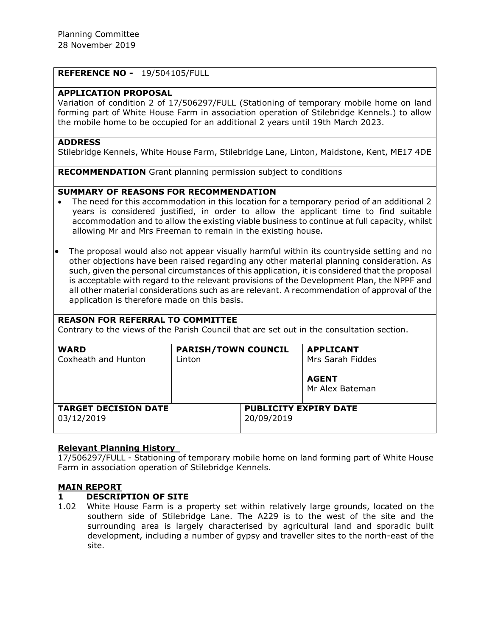## **REFERENCE NO -** 19/504105/FULL

## **APPLICATION PROPOSAL**

Variation of condition 2 of 17/506297/FULL (Stationing of temporary mobile home on land forming part of White House Farm in association operation of Stilebridge Kennels.) to allow the mobile home to be occupied for an additional 2 years until 19th March 2023.

### **ADDRESS**

Stilebridge Kennels, White House Farm, Stilebridge Lane, Linton, Maidstone, Kent, ME17 4DE

**RECOMMENDATION** Grant planning permission subject to conditions

## **SUMMARY OF REASONS FOR RECOMMENDATION**

- The need for this accommodation in this location for a temporary period of an additional 2 years is considered justified, in order to allow the applicant time to find suitable accommodation and to allow the existing viable business to continue at full capacity, whilst allowing Mr and Mrs Freeman to remain in the existing house.
- The proposal would also not appear visually harmful within its countryside setting and no other objections have been raised regarding any other material planning consideration. As such, given the personal circumstances of this application, it is considered that the proposal is acceptable with regard to the relevant provisions of the Development Plan, the NPPF and all other material considerations such as are relevant. A recommendation of approval of the application is therefore made on this basis.

| <b>REASON FOR REFERRAL TO COMMITTEE</b><br>Contrary to the views of the Parish Council that are set out in the consultation section. |                                      |                                            |                                                                         |
|--------------------------------------------------------------------------------------------------------------------------------------|--------------------------------------|--------------------------------------------|-------------------------------------------------------------------------|
| <b>WARD</b><br>Coxheath and Hunton                                                                                                   | <b>PARISH/TOWN COUNCIL</b><br>Linton |                                            | <b>APPLICANT</b><br>Mrs Sarah Fiddes<br><b>AGENT</b><br>Mr Alex Bateman |
| <b>TARGET DECISION DATE</b><br>03/12/2019                                                                                            |                                      | <b>PUBLICITY EXPIRY DATE</b><br>20/09/2019 |                                                                         |

## **Relevant Planning History**

17/506297/FULL - Stationing of temporary mobile home on land forming part of White House Farm in association operation of Stilebridge Kennels.

## **MAIN REPORT**

## **1 DESCRIPTION OF SITE**

1.02 White House Farm is a property set within relatively large grounds, located on the southern side of Stilebridge Lane. The A229 is to the west of the site and the surrounding area is largely characterised by agricultural land and sporadic built development, including a number of gypsy and traveller sites to the north-east of the site.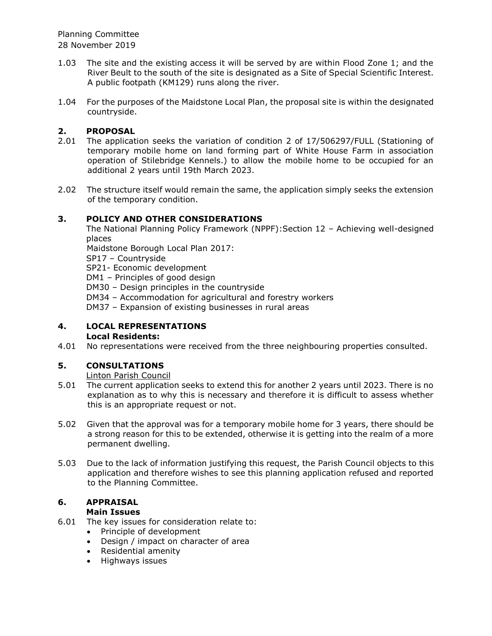- 1.03 The site and the existing access it will be served by are within Flood Zone 1; and the River Beult to the south of the site is designated as a Site of Special Scientific Interest. A public footpath (KM129) runs along the river.
- 1.04 For the purposes of the Maidstone Local Plan, the proposal site is within the designated countryside.

# **2. PROPOSAL**

- 2.01 The application seeks the variation of condition 2 of 17/506297/FULL (Stationing of temporary mobile home on land forming part of White House Farm in association operation of Stilebridge Kennels.) to allow the mobile home to be occupied for an additional 2 years until 19th March 2023.
- 2.02 The structure itself would remain the same, the application simply seeks the extension of the temporary condition.

## **3. POLICY AND OTHER CONSIDERATIONS**

The National Planning Policy Framework (NPPF):Section 12 – Achieving well-designed places

Maidstone Borough Local Plan 2017:

SP17 – Countryside

SP21- Economic development

DM1 – Principles of good design

DM30 – Design principles in the countryside

DM34 – Accommodation for agricultural and forestry workers

DM37 – Expansion of existing businesses in rural areas

#### **4. LOCAL REPRESENTATIONS Local Residents:**

4.01 No representations were received from the three neighbouring properties consulted.

# **5. CONSULTATIONS**

Linton Parish Council

- 5.01 The current application seeks to extend this for another 2 years until 2023. There is no explanation as to why this is necessary and therefore it is difficult to assess whether this is an appropriate request or not.
- 5.02 Given that the approval was for a temporary mobile home for 3 years, there should be a strong reason for this to be extended, otherwise it is getting into the realm of a more permanent dwelling.
- 5.03 Due to the lack of information justifying this request, the Parish Council objects to this application and therefore wishes to see this planning application refused and reported to the Planning Committee.

#### **6. APPRAISAL Main Issues**

- 6.01 The key issues for consideration relate to:
	- Principle of development
	- Design / impact on character of area
	- Residential amenity
	- Highways issues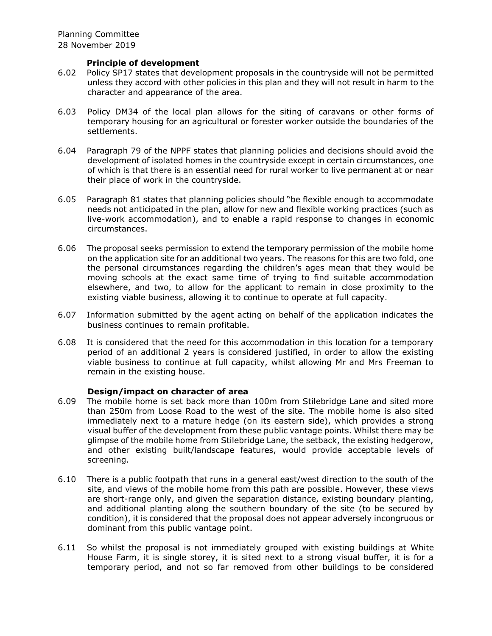### **Principle of development**

- 6.02 Policy SP17 states that development proposals in the countryside will not be permitted unless they accord with other policies in this plan and they will not result in harm to the character and appearance of the area.
- 6.03 Policy DM34 of the local plan allows for the siting of caravans or other forms of temporary housing for an agricultural or forester worker outside the boundaries of the settlements.
- 6.04 Paragraph 79 of the NPPF states that planning policies and decisions should avoid the development of isolated homes in the countryside except in certain circumstances, one of which is that there is an essential need for rural worker to live permanent at or near their place of work in the countryside.
- 6.05 Paragraph 81 states that planning policies should "be flexible enough to accommodate needs not anticipated in the plan, allow for new and flexible working practices (such as live-work accommodation), and to enable a rapid response to changes in economic circumstances.
- 6.06 The proposal seeks permission to extend the temporary permission of the mobile home on the application site for an additional two years. The reasons for this are two fold, one the personal circumstances regarding the children's ages mean that they would be moving schools at the exact same time of trying to find suitable accommodation elsewhere, and two, to allow for the applicant to remain in close proximity to the existing viable business, allowing it to continue to operate at full capacity.
- 6.07 Information submitted by the agent acting on behalf of the application indicates the business continues to remain profitable.
- 6.08 It is considered that the need for this accommodation in this location for a temporary period of an additional 2 years is considered justified, in order to allow the existing viable business to continue at full capacity, whilst allowing Mr and Mrs Freeman to remain in the existing house.

## **Design/impact on character of area**

- 6.09 The mobile home is set back more than 100m from Stilebridge Lane and sited more than 250m from Loose Road to the west of the site. The mobile home is also sited immediately next to a mature hedge (on its eastern side), which provides a strong visual buffer of the development from these public vantage points. Whilst there may be glimpse of the mobile home from Stilebridge Lane, the setback, the existing hedgerow, and other existing built/landscape features, would provide acceptable levels of screening.
- 6.10 There is a public footpath that runs in a general east/west direction to the south of the site, and views of the mobile home from this path are possible. However, these views are short-range only, and given the separation distance, existing boundary planting, and additional planting along the southern boundary of the site (to be secured by condition), it is considered that the proposal does not appear adversely incongruous or dominant from this public vantage point.
- 6.11 So whilst the proposal is not immediately grouped with existing buildings at White House Farm, it is single storey, it is sited next to a strong visual buffer, it is for a temporary period, and not so far removed from other buildings to be considered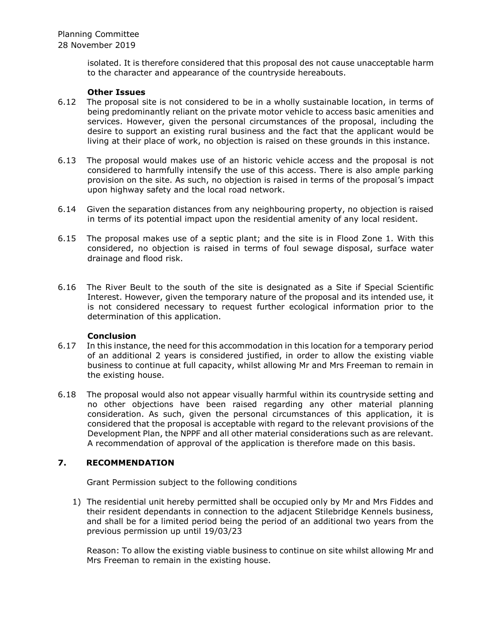> isolated. It is therefore considered that this proposal des not cause unacceptable harm to the character and appearance of the countryside hereabouts.

## **Other Issues**

- 6.12 The proposal site is not considered to be in a wholly sustainable location, in terms of being predominantly reliant on the private motor vehicle to access basic amenities and services. However, given the personal circumstances of the proposal, including the desire to support an existing rural business and the fact that the applicant would be living at their place of work, no objection is raised on these grounds in this instance.
- 6.13 The proposal would makes use of an historic vehicle access and the proposal is not considered to harmfully intensify the use of this access. There is also ample parking provision on the site. As such, no objection is raised in terms of the proposal's impact upon highway safety and the local road network.
- 6.14 Given the separation distances from any neighbouring property, no objection is raised in terms of its potential impact upon the residential amenity of any local resident.
- 6.15 The proposal makes use of a septic plant; and the site is in Flood Zone 1. With this considered, no objection is raised in terms of foul sewage disposal, surface water drainage and flood risk.
- 6.16 The River Beult to the south of the site is designated as a Site if Special Scientific Interest. However, given the temporary nature of the proposal and its intended use, it is not considered necessary to request further ecological information prior to the determination of this application.

### **Conclusion**

- 6.17 In this instance, the need for this accommodation in this location for a temporary period of an additional 2 years is considered justified, in order to allow the existing viable business to continue at full capacity, whilst allowing Mr and Mrs Freeman to remain in the existing house.
- 6.18 The proposal would also not appear visually harmful within its countryside setting and no other objections have been raised regarding any other material planning consideration. As such, given the personal circumstances of this application, it is considered that the proposal is acceptable with regard to the relevant provisions of the Development Plan, the NPPF and all other material considerations such as are relevant. A recommendation of approval of the application is therefore made on this basis.

## **7. RECOMMENDATION**

Grant Permission subject to the following conditions

1) The residential unit hereby permitted shall be occupied only by Mr and Mrs Fiddes and their resident dependants in connection to the adjacent Stilebridge Kennels business, and shall be for a limited period being the period of an additional two years from the previous permission up until 19/03/23

Reason: To allow the existing viable business to continue on site whilst allowing Mr and Mrs Freeman to remain in the existing house.